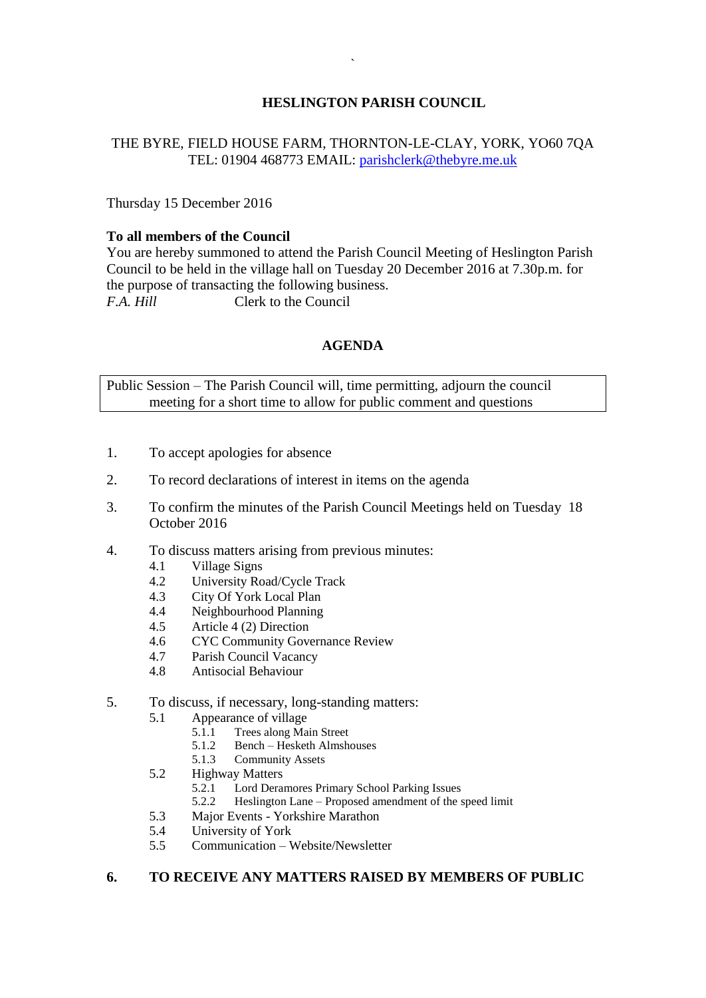# **HESLINGTON PARISH COUNCIL**

## THE BYRE, FIELD HOUSE FARM, THORNTON-LE-CLAY, YORK, YO60 7QA TEL: 01904 468773 EMAIL: [parishclerk@thebyre.me.uk](mailto:parishclerk@thebyre.me.uk)

Thursday 15 December 2016

#### **To all members of the Council**

You are hereby summoned to attend the Parish Council Meeting of Heslington Parish Council to be held in the village hall on Tuesday 20 December 2016 at 7.30p.m. for the purpose of transacting the following business. *F.A. Hill* Clerk to the Council

## **AGENDA**

Public Session – The Parish Council will, time permitting, adjourn the council meeting for a short time to allow for public comment and questions

- 1. To accept apologies for absence
- 2. To record declarations of interest in items on the agenda
- 3. To confirm the minutes of the Parish Council Meetings held on Tuesday 18 October 2016
- 4. To discuss matters arising from previous minutes:
	- 4.1 Village Signs
	- 4.2 University Road/Cycle Track
	- 4.3 City Of York Local Plan
	- 4.4 Neighbourhood Planning
	- 4.5 Article 4 (2) Direction
	- 4.6 CYC Community Governance Review
	- 4.7 Parish Council Vacancy
	- 4.8 Antisocial Behaviour
- 5. To discuss, if necessary, long-standing matters:
	- 5.1 Appearance of village
		- 5.1.1 Trees along Main Street
		- 5.1.2 Bench Hesketh Almshouses
		- 5.1.3 Community Assets
	- 5.2 Highway Matters
		- 5.2.1 Lord Deramores Primary School Parking Issues
		- 5.2.2 Heslington Lane Proposed amendment of the speed limit
	- 5.3 Major Events Yorkshire Marathon
	- 5.4 University of York
	- 5.5 Communication Website/Newsletter

### **6. TO RECEIVE ANY MATTERS RAISED BY MEMBERS OF PUBLIC**